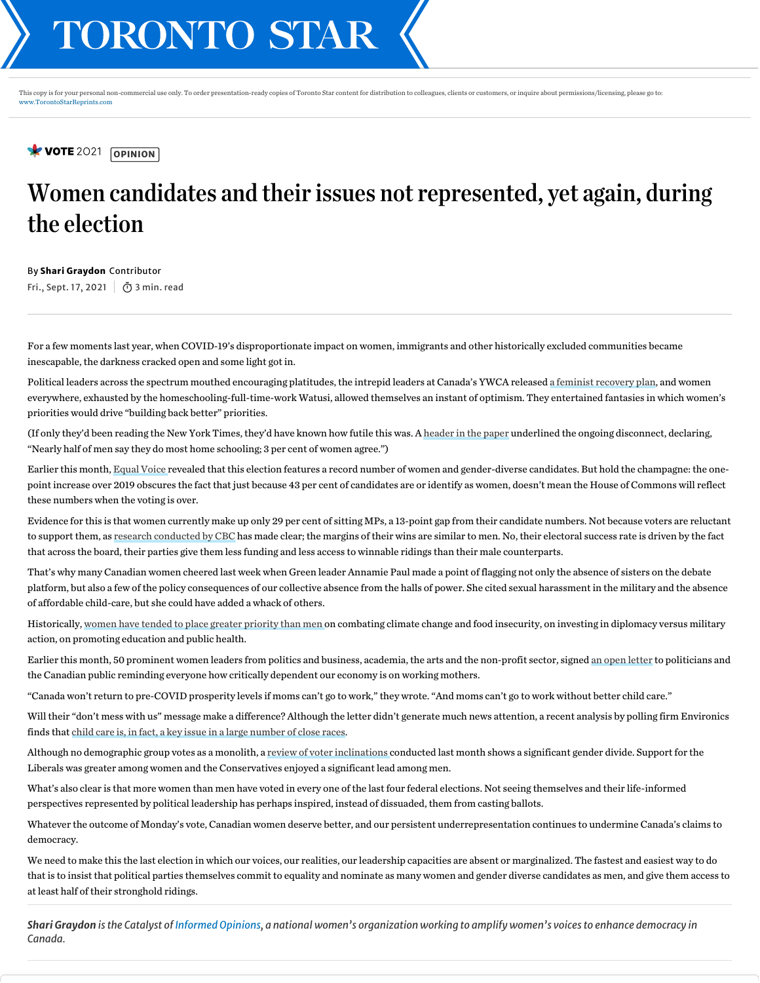VOTE 2021 [OPINION]

## Women candidates and their issues not represented, yet again, during the election

By Shari Graydon Contributor Fri., Sept. 17, 2021  $\int$   $\bar{O}$  3 min. read

For a few moments lastyear, when COVID-19's disproportionate impact on women, immigrants and other historicallyexcluded communities became inescapable, the darkness cracked open and some light got in.

Political leaders across the spectrum mouthed encouraging platitudes, the intrepid leaders at Canada's YWCA released a feminist [recovery](https://static1.squarespace.com/static/5f0cd2090f50a31a91b37ff7/t/5f204eefcdaac112d5cb4973/1595952882869/Feminist+Economy+Recovery+Plan+for+Canada+Policy+Recommendations.pdf) plan, and women everywhere, exhausted bythe homeschooling-full-time-work Watusi, allowed themselves an instant of optimism. Theyentertained fantasies in which women's priorities would drive "building back better" priorities.

(If onlythey'd been reading the New York Times, they'd have known how futile this was. A [header](https://www.nytimes.com/2020/05/06/upshot/pandemic-chores-homeschooling-gender.html) in the paper underlined the ongoing disconnect, declaring, "Nearly half of men saythey do most home schooling; 3 per cent of women agree.")

Earlier this month, [Equal](https://www.equalvoice.ca/election_press_release) Voice revealed that this election features a record number of women and gender-diverse candidates. But hold the champagne: the onepoint increase over 2019 obscures the fact that just because 43 per cent of candidates are or identifyas women, doesn't mean the House of Commons will reflect these numbers when the voting is over.

Evidence for this is that women currently make up only 29 per cent of sitting MPs, a 13-point gap from their candidate numbers. Not because voters are reluctant to support them, as research [conducted](https://ici.radio-canada.ca/info/2019/elections-federales/femmes-hommes-probabilites-vote-egalite-chateaux-forts/index-en.html) by CBC has made clear; the margins of their wins are similar to men. No, their electoral success rate is driven bythe fact that across the board, their parties give them less funding and less access to winnable ridings than their male counterparts.

That's why many Canadian women cheered last week when Green leader Annamie Paul made a point of flagging not onlythe absence of sisters on the debate platform, but also a few of the policyconsequences of our collective absence from the halls of power. She cited sexual harassment in the militaryand the absence of affordable child-care, but she could have added a whack of others.

Historically, women have tended to place greater [prioritythan](https://www.asiapacific.ca/blog/gender-gap-canadian-attitudes-toward-asia) men on combating climate change and food insecurity, on investing in diplomacyversus military action, on promoting education and public health.

Earlier this month, 50 prominent women leaders from politics and business, academia, the arts and the non-profit sector, signed an open [letter](https://childcaretoday.nationbuilder.com/) to politicians and the Canadian public reminding everyone how critically dependent our economyis on working mothers.

"Canada won't return to pre-COVID prosperitylevels if moms can't go to work," they wrote. "And moms can't go to work without better child care."

Will their "don't mess with us" message make a difference? Although the letter didn't generate much news attention, a recent analysis by polling firm Environics finds that child care is, in fact, a [keyissue](https://www.ctvnews.ca/politics/federal-election-2021/child-care-a-key-issue-in-a-large-number-of-tight-ridings-across-the-country-environics-analytics-1.5580945) in a large number of close races.

Although no demographic group votes as a monolith, a review of voter [inclinations](https://www.ctvnews.ca/politics/federal-election-2021/conservatives-surging-with-male-voters-nanos-data-1.5563675) conducted last month shows a significant gender divide. Support for the Liberals was greater among women and the Conservatives enjoyed a significant lead among men.

What's also clear is that more women than men have voted in every one of the last four federal elections. Not seeing themselves and their life-informed perspectives represented by political leadership has perhaps inspired, instead of dissuaded, them from casting ballots.

Whatever the outcome of Monday's vote, Canadian women deserve better, and our persistent underrepresentation continues to undermine Canada's claims to democracy.

We need to make this the last election in which our voices, our realities, our leadership capacities are absent or marginalized. The fastest and easiest wayto do that is to insist that political parties themselves commit to equalityand nominate as many women and gender diverse candidates as men, and give them access to at least half of their stronghold ridings.

Shari Graydon is the Catalyst of [Informed](https://informedopinions.org/) Opinions, a national women's organization working to amplify women's voices to enhance democracy in *Canada.*